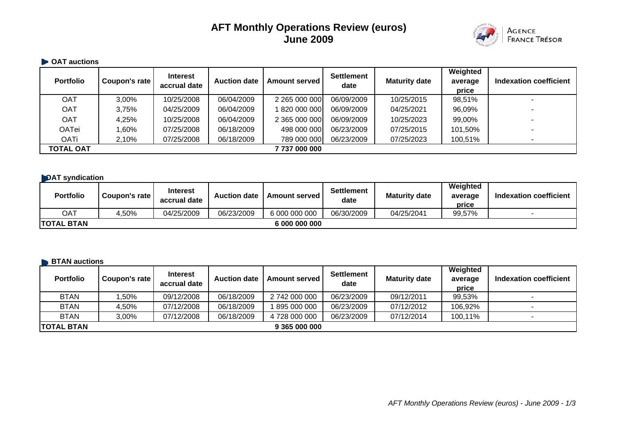# **AFT Monthly Operations Review (euros) June 2009**



#### $\blacksquare$  **OAT auctions**

| <b>Portfolio</b> | Coupon's rate | <b>Interest</b><br>accrual date | <b>Auction date</b> | <b>Amount served</b> | <b>Settlement</b><br>date | <b>Maturity date</b> | Weighted<br>average<br>price | Indexation coefficient |
|------------------|---------------|---------------------------------|---------------------|----------------------|---------------------------|----------------------|------------------------------|------------------------|
| <b>OAT</b>       | 3,00%         | 10/25/2008                      | 06/04/2009          | 2 265 000 000        | 06/09/2009                | 10/25/2015           | 98,51%                       |                        |
| <b>OAT</b>       | 3,75%         | 04/25/2009                      | 06/04/2009          | 1820 000 000         | 06/09/2009                | 04/25/2021           | 96,09%                       |                        |
| <b>OAT</b>       | 4,25%         | 10/25/2008                      | 06/04/2009          | 2 365 000 000        | 06/09/2009                | 10/25/2023           | 99,00%                       |                        |
| <b>OATei</b>     | 1.60%         | 07/25/2008                      | 06/18/2009          | 498 000 000          | 06/23/2009                | 07/25/2015           | 101,50%                      |                        |
| <b>OATi</b>      | 2,10%         | 07/25/2008                      | 06/18/2009          | 789 000 000          | 06/23/2009                | 07/25/2023           | 100,51%                      |                        |
| <b>TOTAL OAT</b> |               |                                 |                     | 7 737 000 000        |                           |                      |                              |                        |

#### **DAT syndication**

| <b>Portfolio</b>  | Coupon's rate | <b>Interest</b><br>accrual date | <b>Auction date</b> | <b>Amount served I</b> | <b>Settlement</b><br>date | <b>Maturity date</b> | Weighted<br>average<br>price | <b>Indexation coefficient</b> |
|-------------------|---------------|---------------------------------|---------------------|------------------------|---------------------------|----------------------|------------------------------|-------------------------------|
| OAT               | 4,50%         | 04/25/2009                      | 06/23/2009          | 6 000 000 000          | 06/30/2009                | 04/25/2041           | 99,57%                       |                               |
| <b>TOTAL BTAN</b> |               |                                 |                     | 6 000 000 000          |                           |                      |                              |                               |

#### **BTAN auctions**

| ______________<br><b>Portfolio</b> | Coupon's rate | <b>Interest</b><br>accrual date | <b>Auction date</b> | <b>Amount served</b> | <b>Settlement</b><br>date | <b>Maturity date</b> | Weighted<br>average<br>price | Indexation coefficient |
|------------------------------------|---------------|---------------------------------|---------------------|----------------------|---------------------------|----------------------|------------------------------|------------------------|
| <b>BTAN</b>                        | ,50%          | 09/12/2008                      | 06/18/2009          | 2 742 000 000        | 06/23/2009                | 09/12/2011           | 99,53%                       |                        |
| <b>BTAN</b>                        | 4.50%         | 07/12/2008                      | 06/18/2009          | 895 000 000          | 06/23/2009                | 07/12/2012           | 106,92%                      |                        |
| <b>BTAN</b>                        | 3.00%         | 07/12/2008                      | 06/18/2009          | 4 728 000 000        | 06/23/2009                | 07/12/2014           | 100,11%                      |                        |
| <b>ITOTAL BTAN</b>                 |               |                                 |                     | 9 365 000 000        |                           |                      |                              |                        |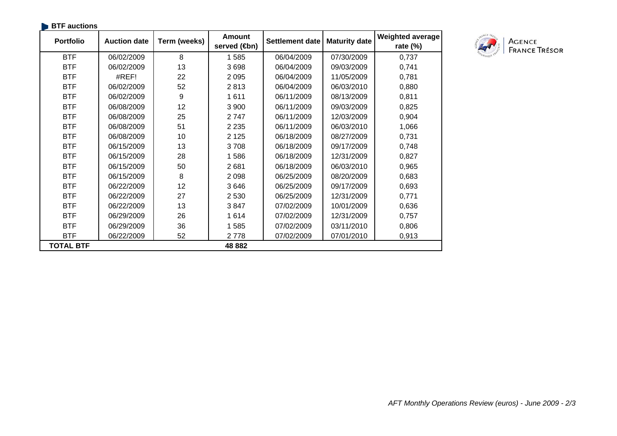| <b>BTF</b> auctions |                     |              |                                            |                        |                      |                                        |  |
|---------------------|---------------------|--------------|--------------------------------------------|------------------------|----------------------|----------------------------------------|--|
| <b>Portfolio</b>    | <b>Auction date</b> | Term (weeks) | <b>Amount</b><br>served ( <del>t</del> on) | <b>Settlement date</b> | <b>Maturity date</b> | <b>Weighted average</b><br>rate $(\%)$ |  |
| <b>BTF</b>          | 06/02/2009          | 8            | 1585                                       | 06/04/2009             | 07/30/2009           | 0,737                                  |  |
| <b>BTF</b>          | 06/02/2009          | 13           | 3698                                       | 06/04/2009             | 09/03/2009           | 0,741                                  |  |
| <b>BTF</b>          | #REF!               | 22           | 2 0 9 5                                    | 06/04/2009             | 11/05/2009           | 0,781                                  |  |
| <b>BTF</b>          | 06/02/2009          | 52           | 2813                                       | 06/04/2009             | 06/03/2010           | 0,880                                  |  |
| <b>BTF</b>          | 06/02/2009          | 9            | 1611                                       | 06/11/2009             | 08/13/2009           | 0,811                                  |  |
| <b>BTF</b>          | 06/08/2009          | 12           | 3 9 0 0                                    | 06/11/2009             | 09/03/2009           | 0,825                                  |  |
| <b>BTF</b>          | 06/08/2009          | 25           | 2747                                       | 06/11/2009             | 12/03/2009           | 0,904                                  |  |
| <b>BTF</b>          | 06/08/2009          | 51           | 2 2 3 5                                    | 06/11/2009             | 06/03/2010           | 1,066                                  |  |
| <b>BTF</b>          | 06/08/2009          | 10           | 2 1 2 5                                    | 06/18/2009             | 08/27/2009           | 0,731                                  |  |
| <b>BTF</b>          | 06/15/2009          | 13           | 3708                                       | 06/18/2009             | 09/17/2009           | 0,748                                  |  |
| <b>BTF</b>          | 06/15/2009          | 28           | 1586                                       | 06/18/2009             | 12/31/2009           | 0,827                                  |  |
| <b>BTF</b>          | 06/15/2009          | 50           | 2681                                       | 06/18/2009             | 06/03/2010           | 0,965                                  |  |
| <b>BTF</b>          | 06/15/2009          | 8            | 2 0 9 8                                    | 06/25/2009             | 08/20/2009           | 0,683                                  |  |
| <b>BTF</b>          | 06/22/2009          | 12           | 3646                                       | 06/25/2009             | 09/17/2009           | 0,693                                  |  |
| <b>BTF</b>          | 06/22/2009          | 27           | 2 5 3 0                                    | 06/25/2009             | 12/31/2009           | 0,771                                  |  |
| <b>BTF</b>          | 06/22/2009          | 13           | 3847                                       | 07/02/2009             | 10/01/2009           | 0,636                                  |  |
| <b>BTF</b>          | 06/29/2009          | 26           | 1614                                       | 07/02/2009             | 12/31/2009           | 0,757                                  |  |
| <b>BTF</b>          | 06/29/2009          | 36           | 1585                                       | 07/02/2009             | 03/11/2010           | 0,806                                  |  |
| <b>BTF</b>          | 06/22/2009          | 52           | 2778                                       | 07/02/2009             | 07/01/2010           | 0,913                                  |  |
| <b>TOTAL BTF</b>    |                     |              | 48 882                                     |                        |                      |                                        |  |